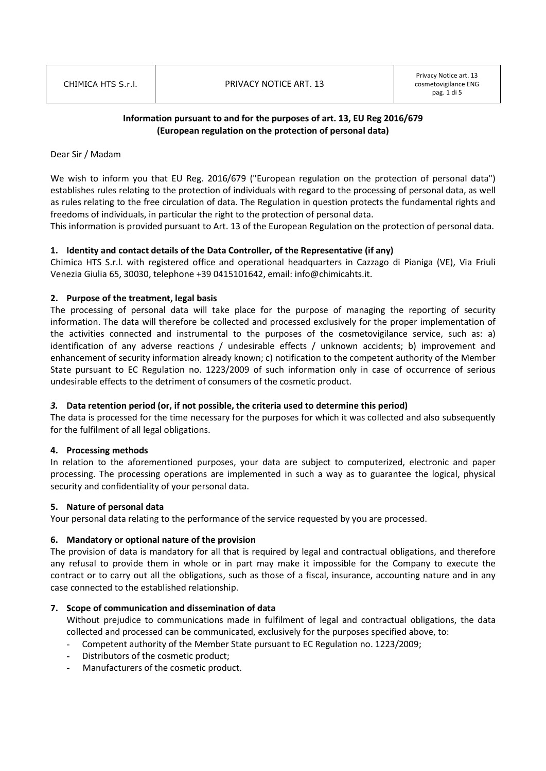# Information pursuant to and for the purposes of art. 13, EU Reg 2016/679 (European regulation on the protection of personal data)

### Dear Sir / Madam

We wish to inform you that EU Reg. 2016/679 ("European regulation on the protection of personal data") establishes rules relating to the protection of individuals with regard to the processing of personal data, as well as rules relating to the free circulation of data. The Regulation in question protects the fundamental rights and freedoms of individuals, in particular the right to the protection of personal data.

This information is provided pursuant to Art. 13 of the European Regulation on the protection of personal data.

# 1. Identity and contact details of the Data Controller, of the Representative (if any)

Chimica HTS S.r.l. with registered office and operational headquarters in Cazzago di Pianiga (VE), Via Friuli Venezia Giulia 65, 30030, telephone +39 0415101642, email: info@chimicahts.it.

### 2. Purpose of the treatment, legal basis

The processing of personal data will take place for the purpose of managing the reporting of security information. The data will therefore be collected and processed exclusively for the proper implementation of the activities connected and instrumental to the purposes of the cosmetovigilance service, such as: a) identification of any adverse reactions / undesirable effects / unknown accidents; b) improvement and enhancement of security information already known; c) notification to the competent authority of the Member State pursuant to EC Regulation no. 1223/2009 of such information only in case of occurrence of serious undesirable effects to the detriment of consumers of the cosmetic product.

#### 3. Data retention period (or, if not possible, the criteria used to determine this period)

The data is processed for the time necessary for the purposes for which it was collected and also subsequently for the fulfilment of all legal obligations.

#### 4. Processing methods

In relation to the aforementioned purposes, your data are subject to computerized, electronic and paper processing. The processing operations are implemented in such a way as to guarantee the logical, physical security and confidentiality of your personal data.

#### 5. Nature of personal data

Your personal data relating to the performance of the service requested by you are processed.

#### 6. Mandatory or optional nature of the provision

The provision of data is mandatory for all that is required by legal and contractual obligations, and therefore any refusal to provide them in whole or in part may make it impossible for the Company to execute the contract or to carry out all the obligations, such as those of a fiscal, insurance, accounting nature and in any case connected to the established relationship.

# 7. Scope of communication and dissemination of data

Without prejudice to communications made in fulfilment of legal and contractual obligations, the data collected and processed can be communicated, exclusively for the purposes specified above, to:

- Competent authority of the Member State pursuant to EC Regulation no. 1223/2009;
- Distributors of the cosmetic product;
- Manufacturers of the cosmetic product.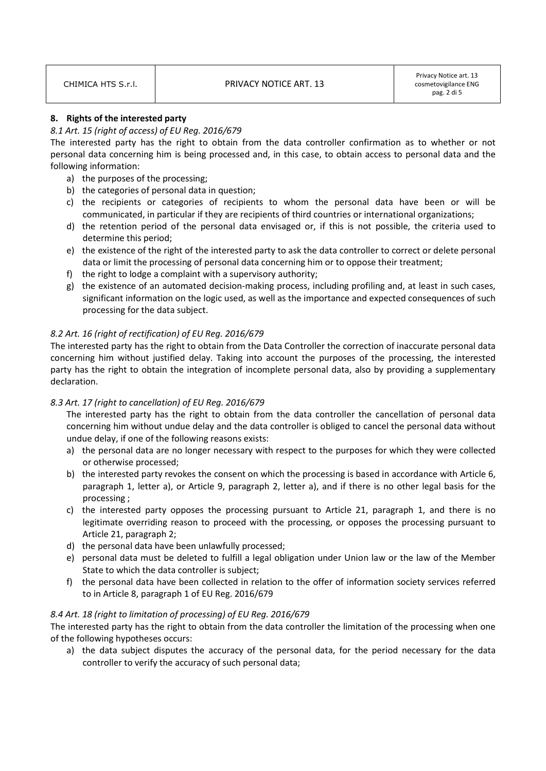| CHIMICA HTS S.r.I. |  |
|--------------------|--|

### 8. Rights of the interested party

### 8.1 Art. 15 (right of access) of EU Reg. 2016/679

The interested party has the right to obtain from the data controller confirmation as to whether or not personal data concerning him is being processed and, in this case, to obtain access to personal data and the following information:

- a) the purposes of the processing;
- b) the categories of personal data in question;
- c) the recipients or categories of recipients to whom the personal data have been or will be communicated, in particular if they are recipients of third countries or international organizations;
- d) the retention period of the personal data envisaged or, if this is not possible, the criteria used to determine this period;
- e) the existence of the right of the interested party to ask the data controller to correct or delete personal data or limit the processing of personal data concerning him or to oppose their treatment;
- f) the right to lodge a complaint with a supervisory authority;
- g) the existence of an automated decision-making process, including profiling and, at least in such cases, significant information on the logic used, as well as the importance and expected consequences of such processing for the data subject.

# 8.2 Art. 16 (right of rectification) of EU Reg. 2016/679

The interested party has the right to obtain from the Data Controller the correction of inaccurate personal data concerning him without justified delay. Taking into account the purposes of the processing, the interested party has the right to obtain the integration of incomplete personal data, also by providing a supplementary declaration.

# 8.3 Art. 17 (right to cancellation) of EU Reg. 2016/679

The interested party has the right to obtain from the data controller the cancellation of personal data concerning him without undue delay and the data controller is obliged to cancel the personal data without undue delay, if one of the following reasons exists:

- a) the personal data are no longer necessary with respect to the purposes for which they were collected or otherwise processed;
- b) the interested party revokes the consent on which the processing is based in accordance with Article 6, paragraph 1, letter a), or Article 9, paragraph 2, letter a), and if there is no other legal basis for the processing ;
- c) the interested party opposes the processing pursuant to Article 21, paragraph 1, and there is no legitimate overriding reason to proceed with the processing, or opposes the processing pursuant to Article 21, paragraph 2;
- d) the personal data have been unlawfully processed;
- e) personal data must be deleted to fulfill a legal obligation under Union law or the law of the Member State to which the data controller is subject;
- f) the personal data have been collected in relation to the offer of information society services referred to in Article 8, paragraph 1 of EU Reg. 2016/679

# 8.4 Art. 18 (right to limitation of processing) of EU Reg. 2016/679

The interested party has the right to obtain from the data controller the limitation of the processing when one of the following hypotheses occurs:

a) the data subject disputes the accuracy of the personal data, for the period necessary for the data controller to verify the accuracy of such personal data;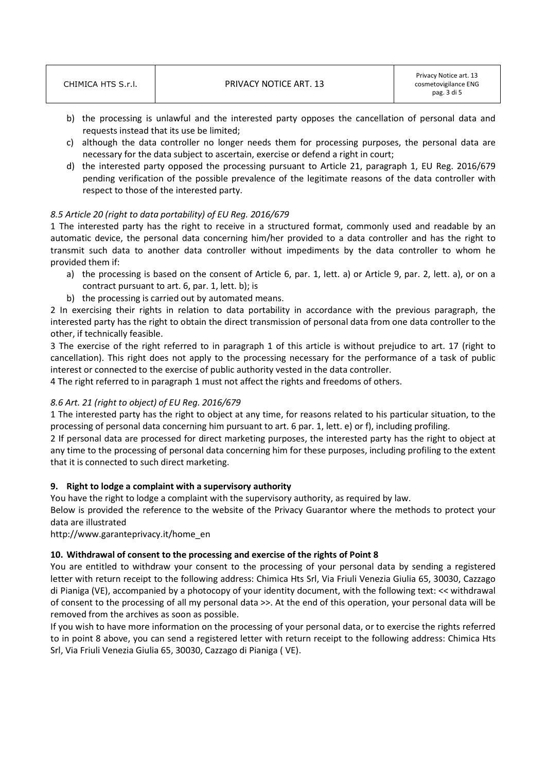- b) the processing is unlawful and the interested party opposes the cancellation of personal data and requests instead that its use be limited;
- c) although the data controller no longer needs them for processing purposes, the personal data are necessary for the data subject to ascertain, exercise or defend a right in court;
- d) the interested party opposed the processing pursuant to Article 21, paragraph 1, EU Reg. 2016/679 pending verification of the possible prevalence of the legitimate reasons of the data controller with respect to those of the interested party.

# 8.5 Article 20 (right to data portability) of EU Reg. 2016/679

1 The interested party has the right to receive in a structured format, commonly used and readable by an automatic device, the personal data concerning him/her provided to a data controller and has the right to transmit such data to another data controller without impediments by the data controller to whom he provided them if:

- a) the processing is based on the consent of Article 6, par. 1, lett. a) or Article 9, par. 2, lett. a), or on a contract pursuant to art. 6, par. 1, lett. b); is
- b) the processing is carried out by automated means.

2 In exercising their rights in relation to data portability in accordance with the previous paragraph, the interested party has the right to obtain the direct transmission of personal data from one data controller to the other, if technically feasible.

3 The exercise of the right referred to in paragraph 1 of this article is without prejudice to art. 17 (right to cancellation). This right does not apply to the processing necessary for the performance of a task of public interest or connected to the exercise of public authority vested in the data controller.

4 The right referred to in paragraph 1 must not affect the rights and freedoms of others.

# 8.6 Art. 21 (right to object) of EU Reg. 2016/679

1 The interested party has the right to object at any time, for reasons related to his particular situation, to the processing of personal data concerning him pursuant to art. 6 par. 1, lett. e) or f), including profiling.

2 If personal data are processed for direct marketing purposes, the interested party has the right to object at any time to the processing of personal data concerning him for these purposes, including profiling to the extent that it is connected to such direct marketing.

# 9. Right to lodge a complaint with a supervisory authority

You have the right to lodge a complaint with the supervisory authority, as required by law.

Below is provided the reference to the website of the Privacy Guarantor where the methods to protect your data are illustrated

http://www.garanteprivacy.it/home\_en

# 10. Withdrawal of consent to the processing and exercise of the rights of Point 8

You are entitled to withdraw your consent to the processing of your personal data by sending a registered letter with return receipt to the following address: Chimica Hts Srl, Via Friuli Venezia Giulia 65, 30030, Cazzago di Pianiga (VE), accompanied by a photocopy of your identity document, with the following text: << withdrawal of consent to the processing of all my personal data >>. At the end of this operation, your personal data will be removed from the archives as soon as possible.

If you wish to have more information on the processing of your personal data, or to exercise the rights referred to in point 8 above, you can send a registered letter with return receipt to the following address: Chimica Hts Srl, Via Friuli Venezia Giulia 65, 30030, Cazzago di Pianiga ( VE).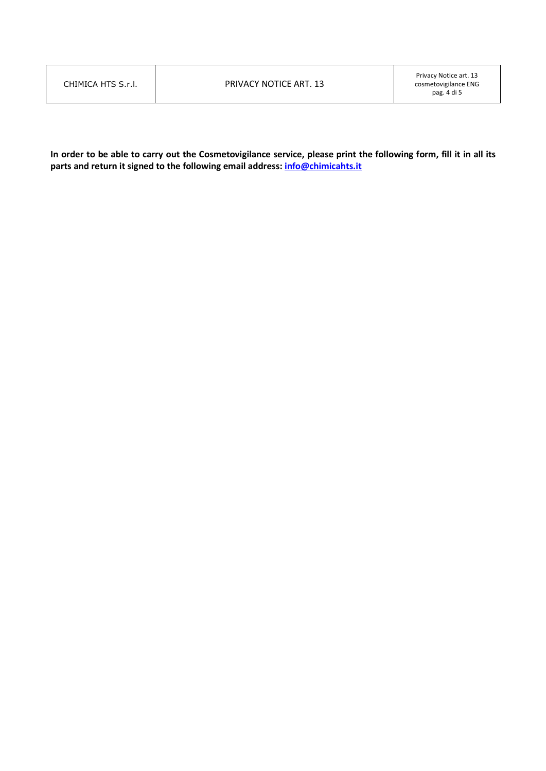| CHIMICA HTS S.r.I. |  |
|--------------------|--|
|                    |  |

In order to be able to carry out the Cosmetovigilance service, please print the following form, fill it in all its parts and return it signed to the following email address: info@chimicahts.it